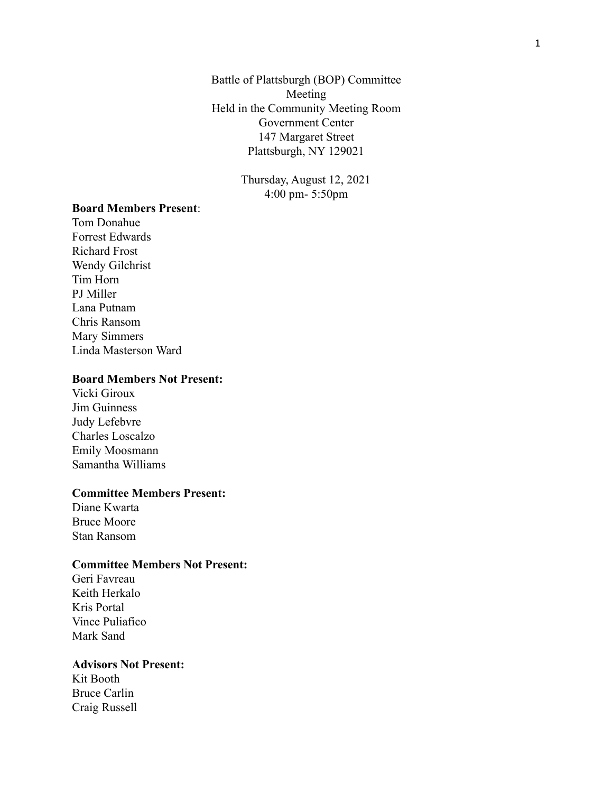Battle of Plattsburgh (BOP) Committee Meeting Held in the Community Meeting Room Government Center 147 Margaret Street Plattsburgh, NY 129021

> Thursday, August 12, 2021 4:00 pm- 5:50pm

# **Board Members Present**:

Tom Donahue Forrest Edwards Richard Frost Wendy Gilchrist Tim Horn PJ Miller Lana Putnam Chris Ransom Mary Simmers Linda Masterson Ward

### **Board Members Not Present:**

Vicki Giroux Jim Guinness Judy Lefebvre Charles Loscalzo Emily Moosmann Samantha Williams

### **Committee Members Present:**

Diane Kwarta Bruce Moore Stan Ransom

## **Committee Members Not Present:**

Geri Favreau Keith Herkalo Kris Portal Vince Puliafico Mark Sand

### **Advisors Not Present:**

Kit Booth Bruce Carlin Craig Russell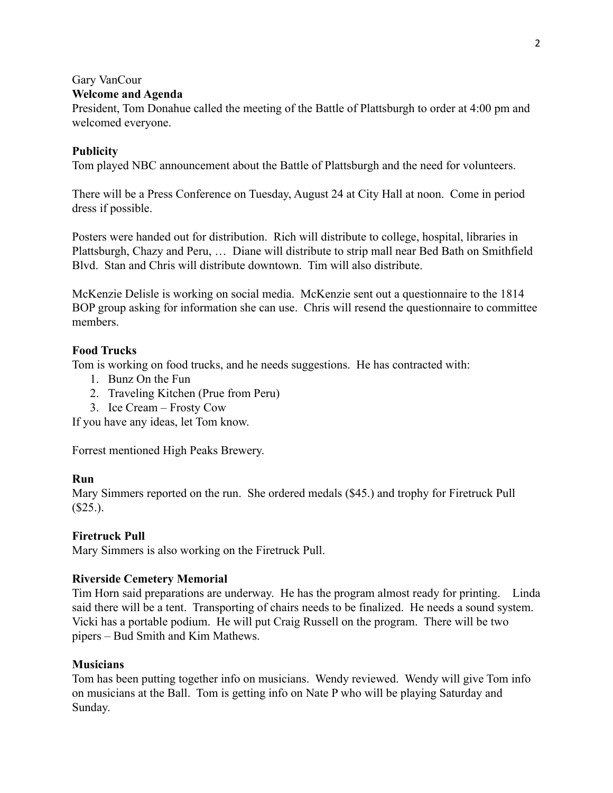# Gary VanCour

## **Welcome and Agenda**

President, Tom Donahue called the meeting of the Battle of Plattsburgh to order at 4:00 pm and welcomed everyone.

## **Publicity**

Tom played NBC announcement about the Battle of Plattsburgh and the need for volunteers.

There will be a Press Conference on Tuesday, August 24 at City Hall at noon. Come in period dress if possible.

Posters were handed out for distribution. Rich will distribute to college, hospital, libraries in Plattsburgh, Chazy and Peru, … Diane will distribute to strip mall near Bed Bath on Smithfield Blvd. Stan and Chris will distribute downtown. Tim will also distribute.

McKenzie Delisle is working on social media. McKenzie sent out a questionnaire to the 1814 BOP group asking for information she can use. Chris will resend the questionnaire to committee members.

## **Food Trucks**

Tom is working on food trucks, and he needs suggestions. He has contracted with:

- 1. Bunz On the Fun
- 2. Traveling Kitchen (Prue from Peru)
- 3. Ice Cream Frosty Cow

If you have any ideas, let Tom know.

Forrest mentioned High Peaks Brewery.

## **Run**

Mary Simmers reported on the run. She ordered medals (\$45.) and trophy for Firetruck Pull  $(S25.)$ .

## **Firetruck Pull**

Mary Simmers is also working on the Firetruck Pull.

### **Riverside Cemetery Memorial**

Tim Horn said preparations are underway. He has the program almost ready for printing. Linda said there will be a tent. Transporting of chairs needs to be finalized. He needs a sound system. Vicki has a portable podium. He will put Craig Russell on the program. There will be two pipers – Bud Smith and Kim Mathews.

## **Musicians**

Tom has been putting together info on musicians. Wendy reviewed. Wendy will give Tom info on musicians at the Ball. Tom is getting info on Nate P who will be playing Saturday and Sunday.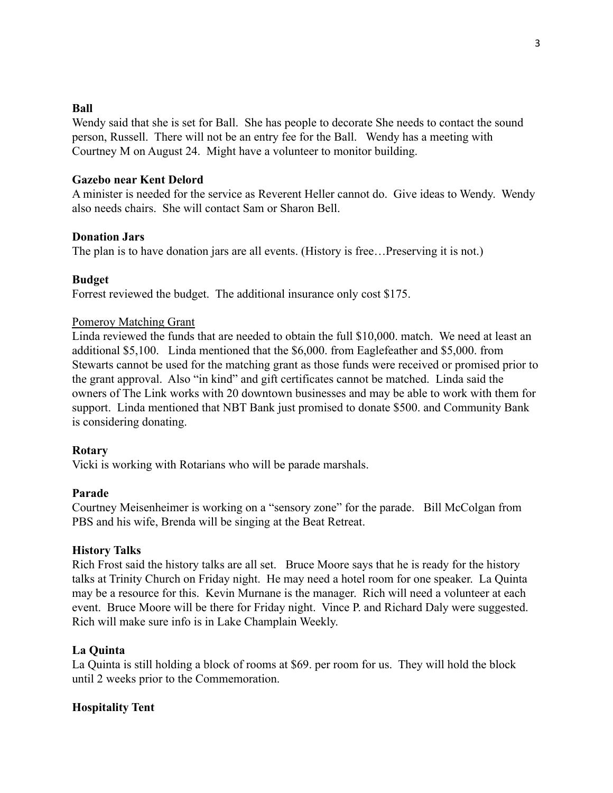## **Ball**

Wendy said that she is set for Ball. She has people to decorate She needs to contact the sound person, Russell. There will not be an entry fee for the Ball. Wendy has a meeting with Courtney M on August 24. Might have a volunteer to monitor building.

## **Gazebo near Kent Delord**

A minister is needed for the service as Reverent Heller cannot do. Give ideas to Wendy. Wendy also needs chairs. She will contact Sam or Sharon Bell.

## **Donation Jars**

The plan is to have donation jars are all events. (History is free…Preserving it is not.)

## **Budget**

Forrest reviewed the budget. The additional insurance only cost \$175.

### Pomeroy Matching Grant

Linda reviewed the funds that are needed to obtain the full \$10,000. match. We need at least an additional \$5,100. Linda mentioned that the \$6,000. from Eaglefeather and \$5,000. from Stewarts cannot be used for the matching grant as those funds were received or promised prior to the grant approval. Also "in kind" and gift certificates cannot be matched. Linda said the owners of The Link works with 20 downtown businesses and may be able to work with them for support. Linda mentioned that NBT Bank just promised to donate \$500. and Community Bank is considering donating.

### **Rotary**

Vicki is working with Rotarians who will be parade marshals.

### **Parade**

Courtney Meisenheimer is working on a "sensory zone" for the parade. Bill McColgan from PBS and his wife, Brenda will be singing at the Beat Retreat.

### **History Talks**

Rich Frost said the history talks are all set. Bruce Moore says that he is ready for the history talks at Trinity Church on Friday night. He may need a hotel room for one speaker. La Quinta may be a resource for this. Kevin Murnane is the manager. Rich will need a volunteer at each event. Bruce Moore will be there for Friday night. Vince P. and Richard Daly were suggested. Rich will make sure info is in Lake Champlain Weekly.

### **La Quinta**

La Quinta is still holding a block of rooms at \$69. per room for us. They will hold the block until 2 weeks prior to the Commemoration.

### **Hospitality Tent**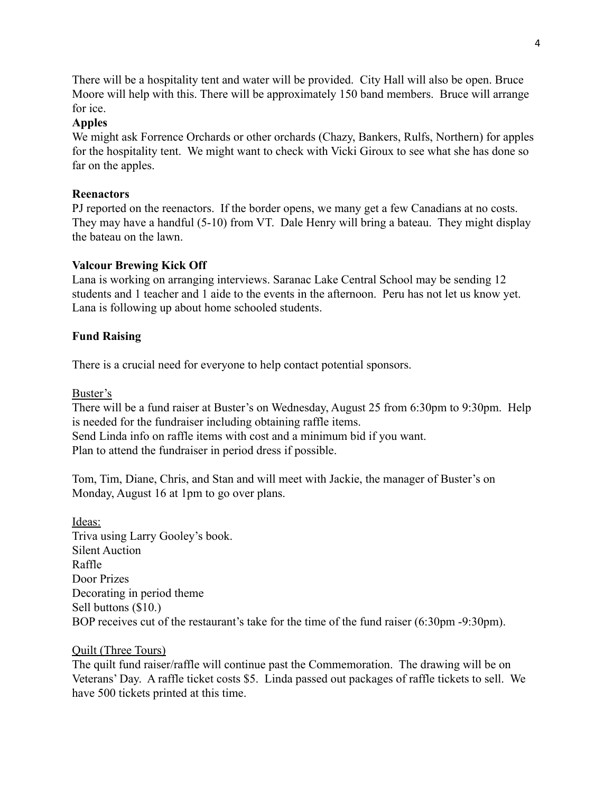There will be a hospitality tent and water will be provided. City Hall will also be open. Bruce Moore will help with this. There will be approximately 150 band members. Bruce will arrange for ice.

# **Apples**

We might ask Forrence Orchards or other orchards (Chazy, Bankers, Rulfs, Northern) for apples for the hospitality tent. We might want to check with Vicki Giroux to see what she has done so far on the apples.

# **Reenactors**

PJ reported on the reenactors. If the border opens, we many get a few Canadians at no costs. They may have a handful (5-10) from VT. Dale Henry will bring a bateau. They might display the bateau on the lawn.

# **Valcour Brewing Kick Off**

Lana is working on arranging interviews. Saranac Lake Central School may be sending 12 students and 1 teacher and 1 aide to the events in the afternoon. Peru has not let us know yet. Lana is following up about home schooled students.

# **Fund Raising**

There is a crucial need for everyone to help contact potential sponsors.

Buster's

There will be a fund raiser at Buster's on Wednesday, August 25 from 6:30pm to 9:30pm. Help is needed for the fundraiser including obtaining raffle items. Send Linda info on raffle items with cost and a minimum bid if you want. Plan to attend the fundraiser in period dress if possible.

Tom, Tim, Diane, Chris, and Stan and will meet with Jackie, the manager of Buster's on Monday, August 16 at 1pm to go over plans.

Ideas: Triva using Larry Gooley's book. Silent Auction Raffle Door Prizes Decorating in period theme Sell buttons (\$10.) BOP receives cut of the restaurant's take for the time of the fund raiser (6:30pm -9:30pm).

## Quilt (Three Tours)

The quilt fund raiser/raffle will continue past the Commemoration. The drawing will be on Veterans' Day. A raffle ticket costs \$5. Linda passed out packages of raffle tickets to sell. We have 500 tickets printed at this time.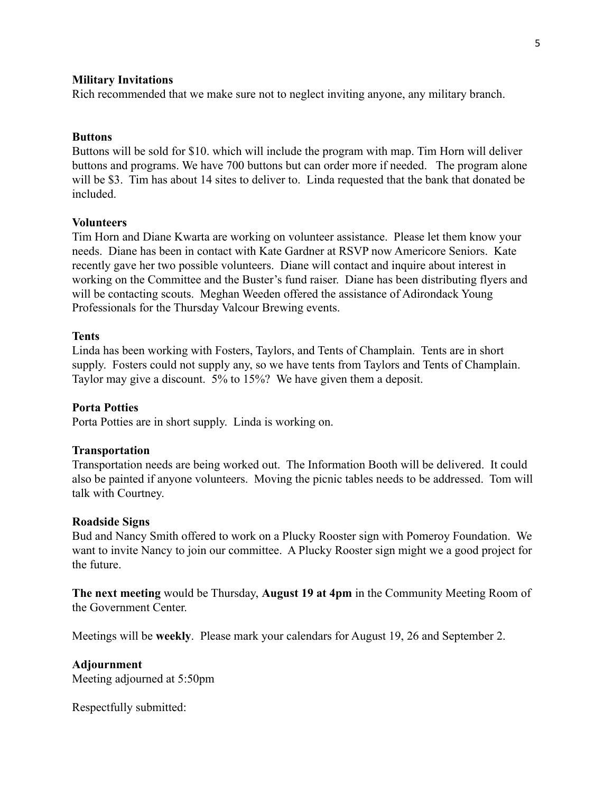#### **Military Invitations**

Rich recommended that we make sure not to neglect inviting anyone, any military branch.

#### **Buttons**

Buttons will be sold for \$10. which will include the program with map. Tim Horn will deliver buttons and programs. We have 700 buttons but can order more if needed. The program alone will be \$3. Tim has about 14 sites to deliver to. Linda requested that the bank that donated be included.

### **Volunteers**

Tim Horn and Diane Kwarta are working on volunteer assistance. Please let them know your needs. Diane has been in contact with Kate Gardner at RSVP now Americore Seniors. Kate recently gave her two possible volunteers. Diane will contact and inquire about interest in working on the Committee and the Buster's fund raiser. Diane has been distributing flyers and will be contacting scouts. Meghan Weeden offered the assistance of Adirondack Young Professionals for the Thursday Valcour Brewing events.

#### **Tents**

Linda has been working with Fosters, Taylors, and Tents of Champlain. Tents are in short supply. Fosters could not supply any, so we have tents from Taylors and Tents of Champlain. Taylor may give a discount. 5% to 15%? We have given them a deposit.

#### **Porta Potties**

Porta Potties are in short supply. Linda is working on.

#### **Transportation**

Transportation needs are being worked out. The Information Booth will be delivered. It could also be painted if anyone volunteers. Moving the picnic tables needs to be addressed. Tom will talk with Courtney.

#### **Roadside Signs**

Bud and Nancy Smith offered to work on a Plucky Rooster sign with Pomeroy Foundation. We want to invite Nancy to join our committee. A Plucky Rooster sign might we a good project for the future.

**The next meeting** would be Thursday, **August 19 at 4pm** in the Community Meeting Room of the Government Center.

Meetings will be **weekly**. Please mark your calendars for August 19, 26 and September 2.

#### **Adjournment**

Meeting adjourned at 5:50pm

Respectfully submitted: